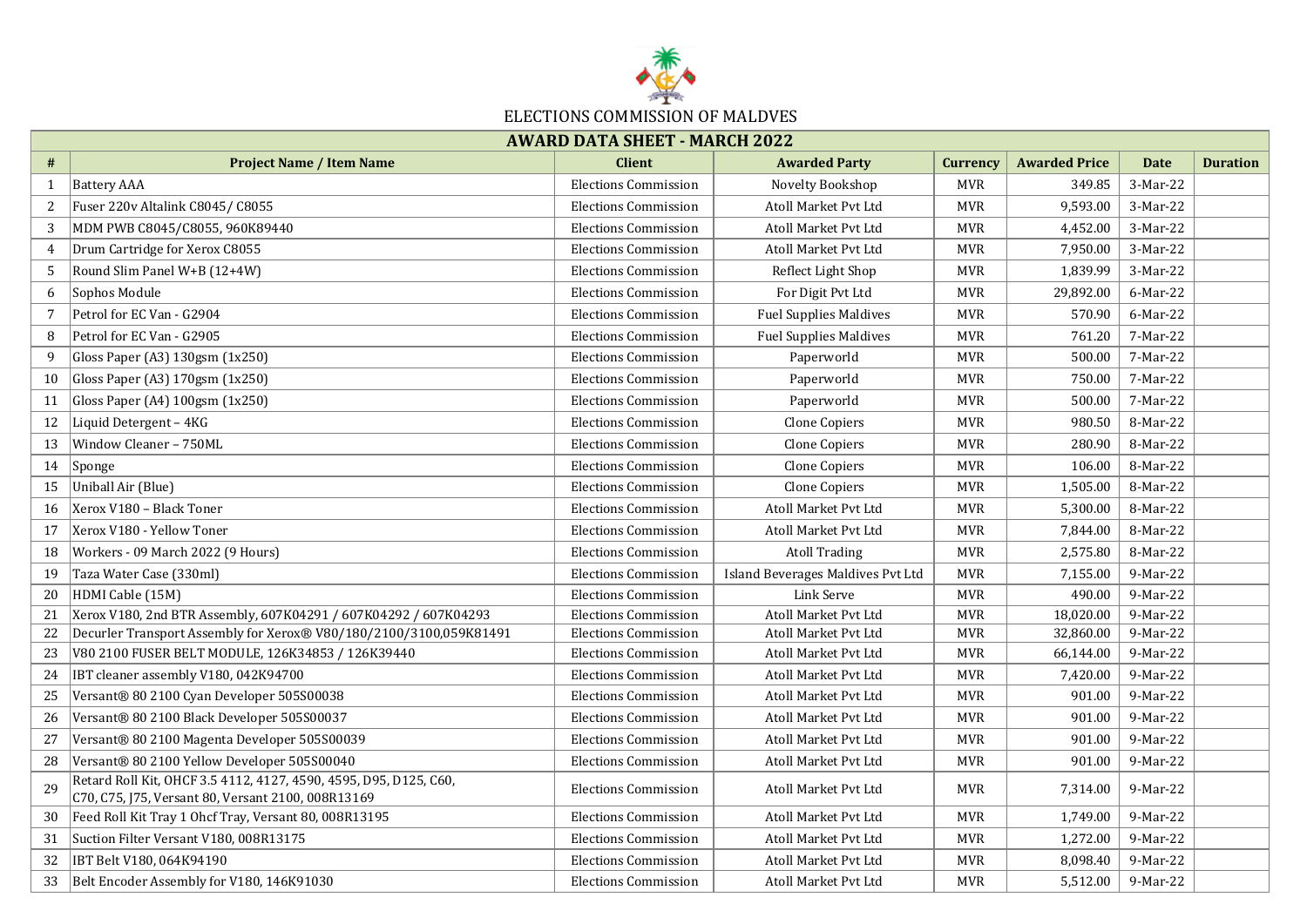

## **# Project Name / Item Name Client Awarded Party Currency Awarded Price Date Duration**  1 Battery AAA Elections Commission Novelty Bookshop MVR 349.85 3-Mar-22 2 Fuser 220v Altalink C8045/ C8055 Elections Commission Buttons Commission Atoll Market Pvt Ltd MVR 9,593.00 3-Mar-22 3 MDM PWB C8045/C8055, 960K89440 Elections Commission Atoll Market Pvt Ltd MVR 4,452.00 3-Mar-22 4 Drum Cartridge for Xerox C8055 **Elections Commission** Elections Commission Atoll Market Pvt Ltd MVR 7,950.00 3-Mar-22 5 Round Slim Panel W+B (12+4W) **Elections Commission** Reflect Light Shop MVR 1,839.99 3-Mar-22 6 Sophos Module Elections Commission For Digit Pvt Ltd MVR 29,892.00 6-Mar-22 7 Petrol for EC Van - G2904 Elections Commission Fuel Supplies Maldives MVR 570.90 6-Mar-22 8 Petrol for EC Van - G2905 **Elections Commission** Elections Commission Fuel Supplies Maldives MVR 761.20 7-Mar-22 9 Gloss Paper (A3) 130gsm (1x250) Elections Commission Paperworld MVR 500.00 7-Mar-22 10 Gloss Paper (A3) 170gsm (1x250) Elections Commission Paperworld MVR 750.00 7-Mar-22 11 Gloss Paper (A4) 100gsm (1x250) **Elections Commission** Paperworld Paperworld MVR 500.00 7-Mar-22 12 Liquid Detergent – 4KG **Elections Commission Clone Copiers** MVR 980.50 8-Mar-22 13 Window Cleaner – 750ML **Elections Commission Clone Copiers** MVR 280.90 8-Mar-22 14 Sponge Elections Commission Clone Copiers MVR 106.00 8-Mar-22 15 Uniball Air (Blue) Elections Commission Clone Copiers MVR 1,505.00 8-Mar-22 16 Xerox V180 – Black Toner Elections Commission Atoll Market Pvt Ltd MVR 5,300.00 8-Mar-22 17 Xerox V180 - Yellow Toner Elections Commission Atoll Market Pvt Ltd MVR 7,844.00 8-Mar-22 18 Workers - 09 March 2022 (9 Hours) **Elections Commission Atoll Trading MVR** 2,575.80 8-Mar-22 19 Taza Water Case (330ml) **Elections Commission Island Beverages Maldives Pvt Ltd** MVR 7,155.00 9-Mar-22 20 |HDMI Cable (15M) Elections Commission Link Serve MVR 490.00 | 9-Mar-22 21 Xerox V180, 2nd BTR Assembly, 607K04291 / 607K04292 / 607K04293 Elections Commission Atoll Market Pvt Ltd MVR 18,020.00 9-Mar-22 22 Decurler Transport Assembly for Xerox® V80/180/2100/3100,059K81491 Elections Commission Atoll Market Pvt Ltd MVR 32,860.00 9-Mar-22 23 V80 2100 FUSER BELT MODULE, 126K34853 / 126K39440 Blections Commission Atoll Market Pvt Ltd MVR 66,144.00 9-Mar-22 24 IBT cleaner assembly V180, 042K94700 Elections Commission Atoll Market Pvt Ltd MVR 7,420.00 9-Mar-22 25 Versant® 80 2100 Cyan Developer 505S00038 Elections Commission Atoll Market Pvt Ltd MVR 901.00 9-Mar-22 26 Versant® 80 2100 Black Developer 505S00037 The Rections Commission Atoll Market Pvt Ltd MVR 901.00 9-Mar-22 27 |Versant® 80 2100 Magenta Developer 505S00039 | Elections Commission | Atoll Market Pvt Ltd MVR | 901.00 | 9-Mar-22 28 Versant® 80 2100 Yellow Developer 505S00040 Elections Commission Atoll Market Pvt Ltd MVR 901.00 9-Mar-22 <sub>29</sub> Retard Roll Kit, OHCF 3.5 4112, 4127, 4590, 4595, D95, D125, C60, C70, C75, J75, Versant 80, Versant 2100, 008R13169 Elections Commission Atoll Market Pvt Ltd MVR 7,314.00 9-Mar-22 30 Feed Roll Kit Tray 1 Ohcf Tray, Versant 80, 008R13195 Elections Commission Atoll Market Pvt Ltd MVR 1,749.00 9-Mar-22 31 Suction Filter Versant V180, 008R13175 **Elections Commission Atoll Market Pvt Ltd MVR** 1,272.00 9-Mar-22 32 IBT Belt V180, 064K94190 Elections Commission Atoll Market Pvt Ltd MVR 8,098.40 9-Mar-22 33 Belt Encoder Assembly for V180, 146K91030 **Elections Commission Atoll Market Pvt Ltd** MVR MVR 5,512.00 9-Mar-22 **AWARD DATA SHEET - MARCH 2022**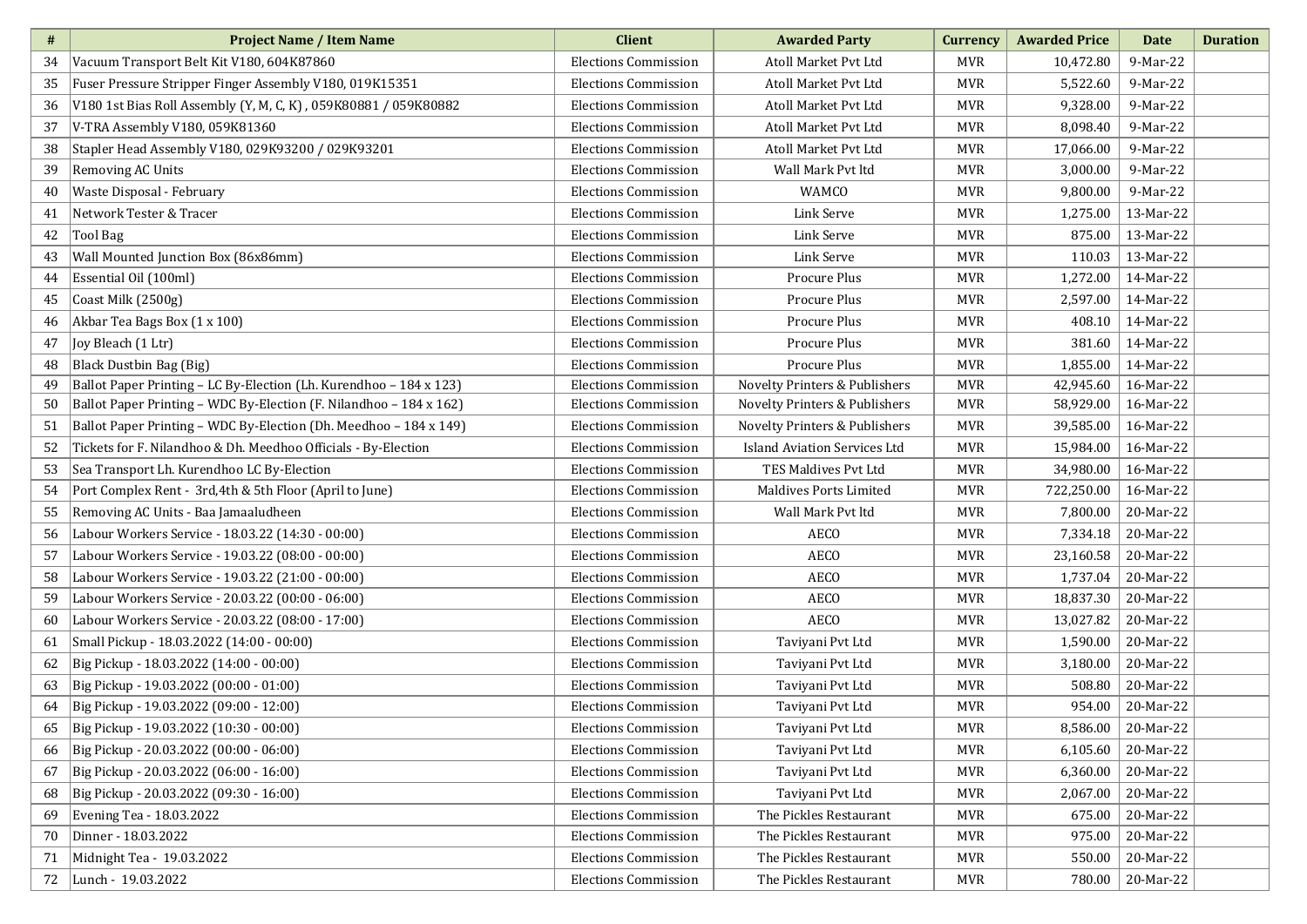| #  | <b>Project Name / Item Name</b>                                    | <b>Client</b>               | <b>Awarded Party</b>                | Currency   | <b>Awarded Price</b> | Date      | <b>Duration</b> |
|----|--------------------------------------------------------------------|-----------------------------|-------------------------------------|------------|----------------------|-----------|-----------------|
| 34 | Vacuum Transport Belt Kit V180, 604K87860                          | <b>Elections Commission</b> | Atoll Market Pvt Ltd                | <b>MVR</b> | 10,472.80            | 9-Mar-22  |                 |
| 35 | Fuser Pressure Stripper Finger Assembly V180, 019K15351            | <b>Elections Commission</b> | Atoll Market Pvt Ltd                | <b>MVR</b> | 5,522.60             | 9-Mar-22  |                 |
| 36 | V180 1st Bias Roll Assembly (Y, M, C, K), 059K80881 / 059K80882    | <b>Elections Commission</b> | Atoll Market Pvt Ltd                | MVR        | 9,328.00             | 9-Mar-22  |                 |
| 37 | V-TRA Assembly V180, 059K81360                                     | <b>Elections Commission</b> | Atoll Market Pvt Ltd                | <b>MVR</b> | 8,098.40             | 9-Mar-22  |                 |
| 38 | Stapler Head Assembly V180, 029K93200 / 029K93201                  | <b>Elections Commission</b> | Atoll Market Pvt Ltd                | <b>MVR</b> | 17,066.00            | 9-Mar-22  |                 |
| 39 | <b>Removing AC Units</b>                                           | <b>Elections Commission</b> | Wall Mark Pvt ltd                   | MVR        | 3,000.00             | 9-Mar-22  |                 |
| 40 | Waste Disposal - February                                          | <b>Elections Commission</b> | <b>WAMCO</b>                        | <b>MVR</b> | 9,800.00             | 9-Mar-22  |                 |
| 41 | Network Tester & Tracer                                            | <b>Elections Commission</b> | Link Serve                          | MVR        | 1,275.00             | 13-Mar-22 |                 |
| 42 | <b>Tool Bag</b>                                                    | <b>Elections Commission</b> | Link Serve                          | MVR        | 875.00               | 13-Mar-22 |                 |
| 43 | Wall Mounted Junction Box (86x86mm)                                | <b>Elections Commission</b> | Link Serve                          | <b>MVR</b> | 110.03               | 13-Mar-22 |                 |
| 44 | Essential Oil (100ml)                                              | <b>Elections Commission</b> | Procure Plus                        | MVR        | 1,272.00             | 14-Mar-22 |                 |
| 45 | Coast Milk (2500g)                                                 | <b>Elections Commission</b> | Procure Plus                        | MVR        | 2,597.00             | 14-Mar-22 |                 |
| 46 | Akbar Tea Bags Box (1 x 100)                                       | <b>Elections Commission</b> | Procure Plus                        | MVR        | 408.10               | 14-Mar-22 |                 |
| 47 | Joy Bleach (1 Ltr)                                                 | <b>Elections Commission</b> | Procure Plus                        | MVR        | 381.60               | 14-Mar-22 |                 |
| 48 | <b>Black Dustbin Bag (Big)</b>                                     | <b>Elections Commission</b> | Procure Plus                        | MVR        | 1,855.00             | 14-Mar-22 |                 |
| 49 | Ballot Paper Printing - LC By-Election (Lh. Kurendhoo - 184 x 123) | <b>Elections Commission</b> | Novelty Printers & Publishers       | <b>MVR</b> | 42,945.60            | 16-Mar-22 |                 |
| 50 | Ballot Paper Printing - WDC By-Election (F. Nilandhoo - 184 x 162) | <b>Elections Commission</b> | Novelty Printers & Publishers       | MVR        | 58,929.00            | 16-Mar-22 |                 |
| 51 | Ballot Paper Printing - WDC By-Election (Dh. Meedhoo - 184 x 149)  | <b>Elections Commission</b> | Novelty Printers & Publishers       | MVR        | 39,585.00            | 16-Mar-22 |                 |
| 52 | Tickets for F. Nilandhoo & Dh. Meedhoo Officials - By-Election     | <b>Elections Commission</b> | <b>Island Aviation Services Ltd</b> | MVR        | 15,984.00            | 16-Mar-22 |                 |
| 53 | Sea Transport Lh. Kurendhoo LC By-Election                         | <b>Elections Commission</b> | TES Maldives Pvt Ltd                | <b>MVR</b> | 34,980.00            | 16-Mar-22 |                 |
| 54 | Port Complex Rent - 3rd, 4th & 5th Floor (April to June)           | <b>Elections Commission</b> | <b>Maldives Ports Limited</b>       | MVR        | 722,250.00           | 16-Mar-22 |                 |
| 55 | Removing AC Units - Baa Jamaaludheen                               | <b>Elections Commission</b> | Wall Mark Pvt ltd                   | <b>MVR</b> | 7,800.00             | 20-Mar-22 |                 |
| 56 | Labour Workers Service - 18.03.22 (14:30 - 00:00)                  | <b>Elections Commission</b> | <b>AECO</b>                         | MVR        | 7,334.18             | 20-Mar-22 |                 |
| 57 | Labour Workers Service - 19.03.22 (08:00 - 00:00)                  | <b>Elections Commission</b> | <b>AECO</b>                         | <b>MVR</b> | 23,160.58            | 20-Mar-22 |                 |
| 58 | Labour Workers Service - 19.03.22 (21:00 - 00:00)                  | <b>Elections Commission</b> | <b>AECO</b>                         | <b>MVR</b> | 1,737.04             | 20-Mar-22 |                 |
| 59 | Labour Workers Service - 20.03.22 (00:00 - 06:00)                  | <b>Elections Commission</b> | <b>AECO</b>                         | <b>MVR</b> | 18,837.30            | 20-Mar-22 |                 |
| 60 | Labour Workers Service - 20.03.22 (08:00 - 17:00)                  | <b>Elections Commission</b> | <b>AECO</b>                         | <b>MVR</b> | 13,027.82            | 20-Mar-22 |                 |
| 61 | Small Pickup - 18.03.2022 (14:00 - 00:00)                          | <b>Elections Commission</b> | Taviyani Pvt Ltd                    | <b>MVR</b> | 1,590.00             | 20-Mar-22 |                 |
| 62 | Big Pickup - 18.03.2022 (14:00 - 00:00)                            | <b>Elections Commission</b> | Taviyani Pvt Ltd                    | MVR        | 3,180.00             | 20-Mar-22 |                 |
| 63 | Big Pickup - 19.03.2022 (00:00 - 01:00)                            | <b>Elections Commission</b> | Taviyani Pvt Ltd                    | <b>MVR</b> | 508.80               | 20-Mar-22 |                 |
| 64 | Big Pickup - 19.03.2022 (09:00 - 12:00)                            | <b>Elections Commission</b> | Taviyani Pvt Ltd                    | <b>MVR</b> | 954.00               | 20-Mar-22 |                 |
| 65 | Big Pickup - 19.03.2022 (10:30 - 00:00)                            | <b>Elections Commission</b> | Taviyani Pvt Ltd                    | <b>MVR</b> | 8,586.00             | 20-Mar-22 |                 |
| 66 | Big Pickup - 20.03.2022 (00:00 - 06:00)                            | <b>Elections Commission</b> | Taviyani Pvt Ltd                    | MVR        | 6,105.60             | 20-Mar-22 |                 |
| 67 | Big Pickup - 20.03.2022 (06:00 - 16:00)                            | <b>Elections Commission</b> | Taviyani Pvt Ltd                    | MVR        | 6,360.00             | 20-Mar-22 |                 |
| 68 | Big Pickup - 20.03.2022 (09:30 - 16:00)                            | <b>Elections Commission</b> | Taviyani Pvt Ltd                    | MVR        | 2,067.00             | 20-Mar-22 |                 |
| 69 | Evening Tea - 18.03.2022                                           | <b>Elections Commission</b> | The Pickles Restaurant              | MVR        | 675.00               | 20-Mar-22 |                 |
| 70 | Dinner - 18.03.2022                                                | <b>Elections Commission</b> | The Pickles Restaurant              | MVR        | 975.00               | 20-Mar-22 |                 |
| 71 | Midnight Tea - 19.03.2022                                          | <b>Elections Commission</b> | The Pickles Restaurant              | <b>MVR</b> | 550.00               | 20-Mar-22 |                 |
| 72 | Lunch - 19.03.2022                                                 | <b>Elections Commission</b> | The Pickles Restaurant              | MVR        | 780.00               | 20-Mar-22 |                 |